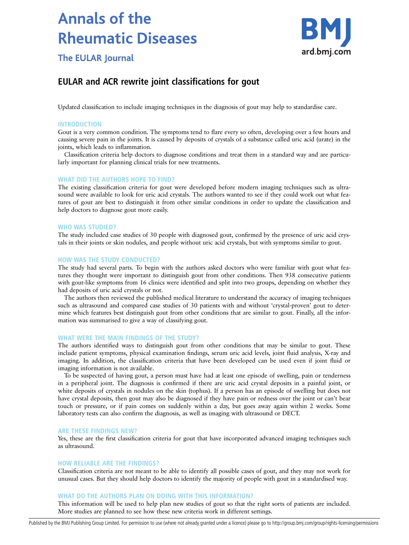# **Annals of the Rheumatic Diseases**



**The EULAR Journal** 

# EULAR and ACR rewrite joint classifications for gout

Updated classification to include imaging techniques in the diagnosis of gout may help to standardise care.

# **INTRODUCTION**

Gout is a very common condition. The symptoms tend to flare every so often, developing over a few hours and causing severe pain in the joints. It is caused by deposits of crystals of a substance called uric acid (urate) in the joints, which leads to inflammation.

Classification criteria help doctors to diagnose conditions and treat them in a standard way and are particularly important for planning clinical trials for new treatments.

# WHAT DID THE AUTHORS HOPE TO FIND?

The existing classification criteria for gout were developed before modern imaging techniques such as ultrasound were available to look for uric acid crystals. The authors wanted to see if they could work out what features of gout are best to distinguish it from other similar conditions in order to update the classification and help doctors to diagnose gout more easily.

## WHO WAS STUDIED?

The study included case studies of 30 people with diagnosed gout, confirmed by the presence of uric acid crystals in their joints or skin nodules, and people without uric acid crystals, but with symptoms similar to gout.

# HOW WAS THE STUDY CONDUCTED?

The study had several parts. To begin with the authors asked doctors who were familiar with gout what features they thought were important to distinguish gout from other conditions. Then 938 consecutive patients with gout-like symptoms from 16 clinics were identified and split into two groups, depending on whether they had deposits of uric acid crystals or not.

The authors then reviewed the published medical literature to understand the accuracy of imaging techniques such as ultrasound and compared case studies of 30 patients with and without 'crystal-proven' gout to determine which features best distinguish gout from other conditions that are similar to gout. Finally, all the information was summarised to give a way of classifying gout.

# WHAT WERE THE MAIN FINDINGS OF THE STUDY?

The authors identified ways to distinguish gout from other conditions that may be similar to gout. These include patient symptoms, physical examination findings, serum uric acid levels, joint fluid analysis, X-ray and imaging. In addition, the classification criteria that have been developed can be used even if joint fluid or imaging information is not available.

To be suspected of having gout, a person must have had at least one episode of swelling, pain or tenderness in a peripheral joint. The diagnosis is confirmed if there are uric acid crystal deposits in a painful joint, or white deposits of crystals in nodules on the skin (tophus). If a person has an episode of swelling but does not have crystal deposits, then gout may also be diagnosed if they have pain or redness over the joint or can't bear touch or pressure, or if pain comes on suddenly within a day, but goes away again within 2 weeks. Some laboratory tests can also confirm the diagnosis, as well as imaging with ultrasound or DECT.

## ARE THESE FINDINGS NEW?

Yes, these are the first classification criteria for gout that have incorporated advanced imaging techniques such as ultrasound.

# HOW RELIABLE ARE THE FINDINGS?

Classification criteria are not meant to be able to identify all possible cases of gout, and they may not work for unusual cases. But they should help doctors to identify the majority of people with gout in a standardised way.

## WHAT DO THE AUTHORS PLAN ON DOING WITH THIS INFORMATION?

This information will be used to help plan new studies of gout so that the right sorts of patients are included. More studies are planned to see how these new criteria work in different settings.